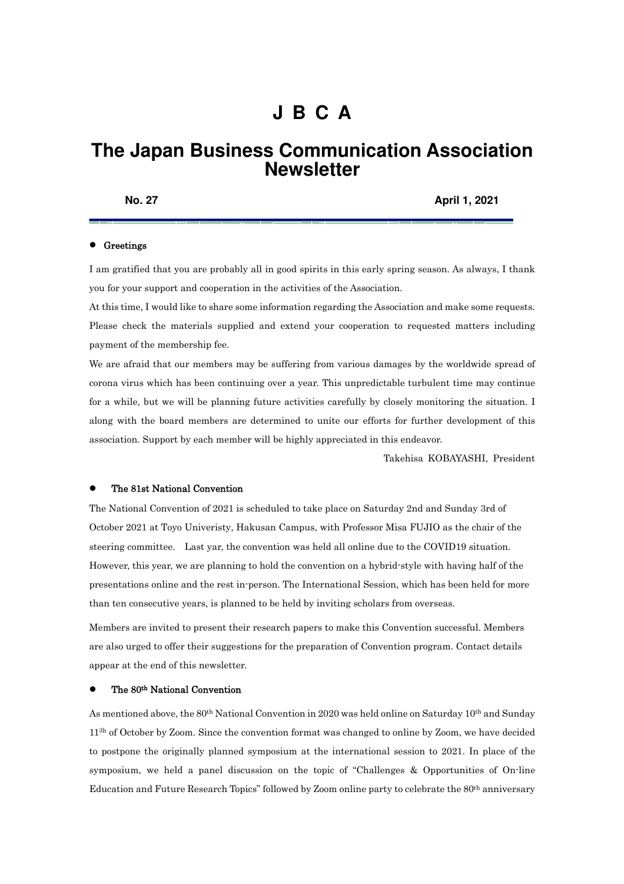# **J B C A**

# **The Japan Business Communication Association Newsletter**

**No. 27 April 1, 2021** 

## **•** Greetings

I am gratified that you are probably all in good spirits in this early spring season. As always, I thank you for your support and cooperation in the activities of the Association.

At this time, I would like to share some information regarding the Association and make some requests. Please check the materials supplied and extend your cooperation to requested matters including payment of the membership fee.

We are afraid that our members may be suffering from various damages by the worldwide spread of corona virus which has been continuing over a year. This unpredictable turbulent time may continue for a while, but we will be planning future activities carefully by closely monitoring the situation. I along with the board members are determined to unite our efforts for further development of this association. Support by each member will be highly appreciated in this endeavor.

Takehisa KOBAYASHI, President

#### The 81st National Convention

The National Convention of 2021 is scheduled to take place on Saturday 2nd and Sunday 3rd of October 2021 at Toyo Univeristy, Hakusan Campus, with Professor Misa FUJIO as the chair of the steering committee. Last yar, the convention was held all online due to the COVID19 situation. However, this year, we are planning to hold the convention on a hybrid-style with having half of the presentations online and the rest in-person. The International Session, which has been held for more than ten consecutive years, is planned to be held by inviting scholars from overseas.

Members are invited to present their research papers to make this Convention successful. Members are also urged to offer their suggestions for the preparation of Convention program. Contact details appear at the end of this newsletter.

### The 80th National Convention

As mentioned above, the 80<sup>th</sup> National Convention in 2020 was held online on Saturday 10<sup>th</sup> and Sunday 11<sup>3h</sup> of October by Zoom. Since the convention format was changed to online by Zoom, we have decided to postpone the originally planned symposium at the international session to 2021. In place of the symposium, we held a panel discussion on the topic of "Challenges & Opportunities of On-line Education and Future Research Topics" followed by Zoom online party to celebrate the 80th anniversary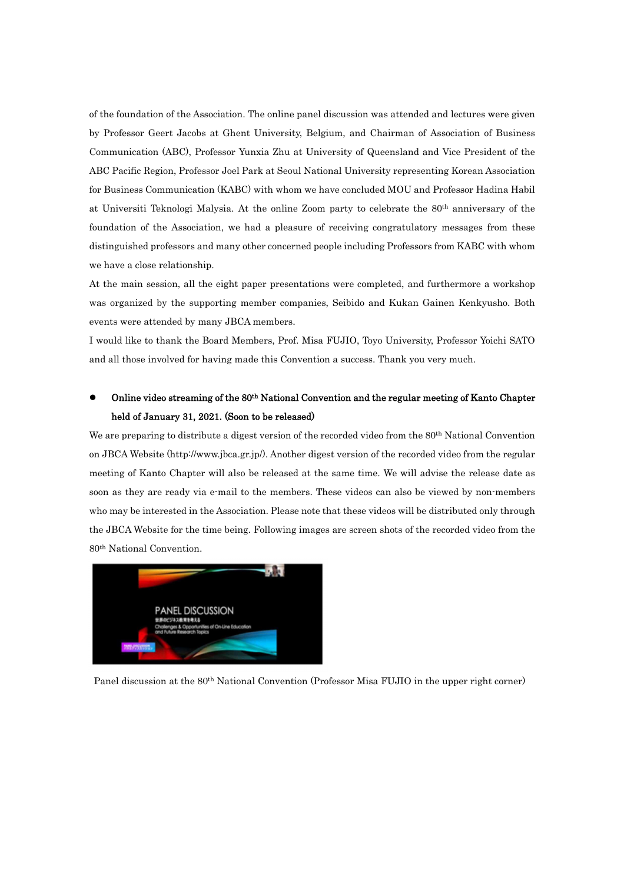of the foundation of the Association. The online panel discussion was attended and lectures were given by Professor Geert Jacobs at Ghent University, Belgium, and Chairman of Association of Business Communication (ABC), Professor Yunxia Zhu at University of Queensland and Vice President of the ABC Pacific Region, Professor Joel Park at Seoul National University representing Korean Association for Business Communication (KABC) with whom we have concluded MOU and Professor Hadina Habil at Universiti Teknologi Malysia. At the online Zoom party to celebrate the 80th anniversary of the foundation of the Association, we had a pleasure of receiving congratulatory messages from these distinguished professors and many other concerned people including Professors from KABC with whom we have a close relationship.

At the main session, all the eight paper presentations were completed, and furthermore a workshop was organized by the supporting member companies, Seibido and Kukan Gainen Kenkyusho. Both events were attended by many JBCA members.

I would like to thank the Board Members, Prof. Misa FUJIO, Toyo University, Professor Yoichi SATO and all those involved for having made this Convention a success. Thank you very much.

## Online video streaming of the 80th National Convention and the regular meeting of Kanto Chapter held of January 31, 2021. (Soon to be released)

We are preparing to distribute a digest version of the recorded video from the 80<sup>th</sup> National Convention on JBCA Website (http://www.jbca.gr.jp/). Another digest version of the recorded video from the regular meeting of Kanto Chapter will also be released at the same time. We will advise the release date as soon as they are ready via e-mail to the members. These videos can also be viewed by non-members who may be interested in the Association. Please note that these videos will be distributed only through the JBCA Website for the time being. Following images are screen shots of the recorded video from the 80th National Convention.



Panel discussion at the 80th National Convention (Professor Misa FUJIO in the upper right corner)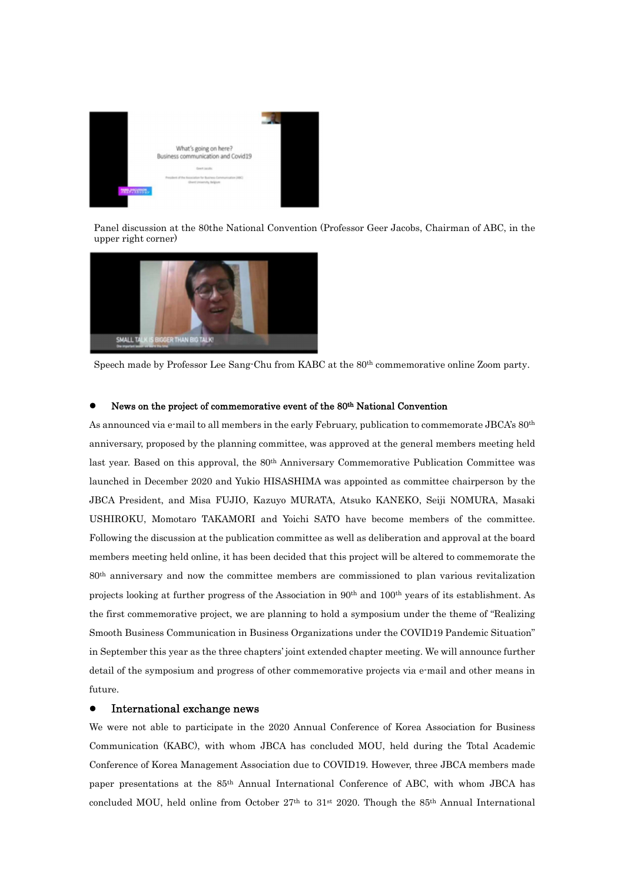

 Panel discussion at the 80the National Convention (Professor Geer Jacobs, Chairman of ABC, in the upper right corner)



Speech made by Professor Lee Sang-Chu from KABC at the 80th commemorative online Zoom party.

## News on the project of commemorative event of the 80 th National Convention

As announced via e-mail to all members in the early February, publication to commemorate JBCA's 80<sup>th</sup> anniversary, proposed by the planning committee, was approved at the general members meeting held last year. Based on this approval, the 80<sup>th</sup> Anniversary Commemorative Publication Committee was launched in December 2020 and Yukio HISASHIMA was appointed as committee chairperson by the JBCA President, and Misa FUJIO, Kazuyo MURATA, Atsuko KANEKO, Seiji NOMURA, Masaki USHIROKU, Momotaro TAKAMORI and Yoichi SATO have become members of the committee. Following the discussion at the publication committee as well as deliberation and approval at the board members meeting held online, it has been decided that this project will be altered to commemorate the 80th anniversary and now the committee members are commissioned to plan various revitalization projects looking at further progress of the Association in 90<sup>th</sup> and 100<sup>th</sup> years of its establishment. As the first commemorative project, we are planning to hold a symposium under the theme of "Realizing Smooth Business Communication in Business Organizations under the COVID19 Pandemic Situation" in September this year as the three chapters' joint extended chapter meeting. We will announce further detail of the symposium and progress of other commemorative projects via e-mail and other means in future.

## International exchange news

We were not able to participate in the 2020 Annual Conference of Korea Association for Business Communication (KABC), with whom JBCA has concluded MOU, held during the Total Academic Conference of Korea Management Association due to COVID19. However, three JBCA members made paper presentations at the 85th Annual International Conference of ABC, with whom JBCA has concluded MOU, held online from October  $27<sup>th</sup>$  to  $31<sup>st</sup> 2020$ . Though the  $85<sup>th</sup>$  Annual International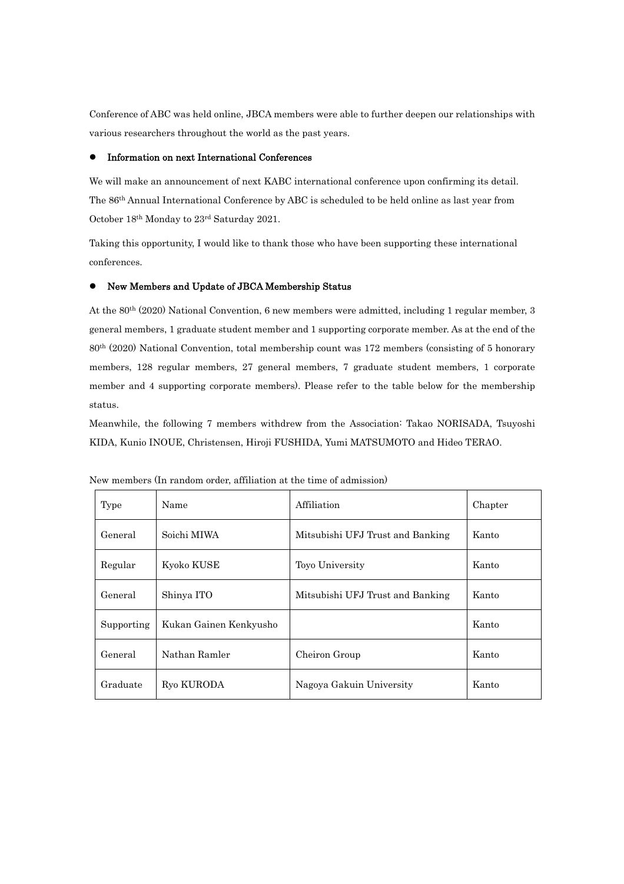Conference of ABC was held online, JBCA members were able to further deepen our relationships with various researchers throughout the world as the past years.

## Information on next International Conferences

We will make an announcement of next KABC international conference upon confirming its detail. The 86th Annual International Conference by ABC is scheduled to be held online as last year from October 18th Monday to 23rd Saturday 2021.

Taking this opportunity, I would like to thank those who have been supporting these international conferences.

## New Members and Update of JBCA Membership Status

At the 80th (2020) National Convention, 6 new members were admitted, including 1 regular member, 3 general members, 1 graduate student member and 1 supporting corporate member. As at the end of the 80th (2020) National Convention, total membership count was 172 members (consisting of 5 honorary members, 128 regular members, 27 general members, 7 graduate student members, 1 corporate member and 4 supporting corporate members). Please refer to the table below for the membership status.

Meanwhile, the following 7 members withdrew from the Association: Takao NORISADA, Tsuyoshi KIDA, Kunio INOUE, Christensen, Hiroji FUSHIDA, Yumi MATSUMOTO and Hideo TERAO.

| Type       | Name                   | Affiliation                      | Chapter |
|------------|------------------------|----------------------------------|---------|
| General    | Soichi MIWA            | Mitsubishi UFJ Trust and Banking | Kanto   |
| Regular    | Kyoko KUSE             | Toyo University                  | Kanto   |
| General    | Shinya ITO             | Mitsubishi UFJ Trust and Banking | Kanto   |
| Supporting | Kukan Gainen Kenkyusho |                                  | Kanto   |
| General    | Nathan Ramler          | Cheiron Group                    | Kanto   |
| Graduate   | Ryo KURODA             | Nagoya Gakuin University         | Kanto   |

New members (In random order, affiliation at the time of admission)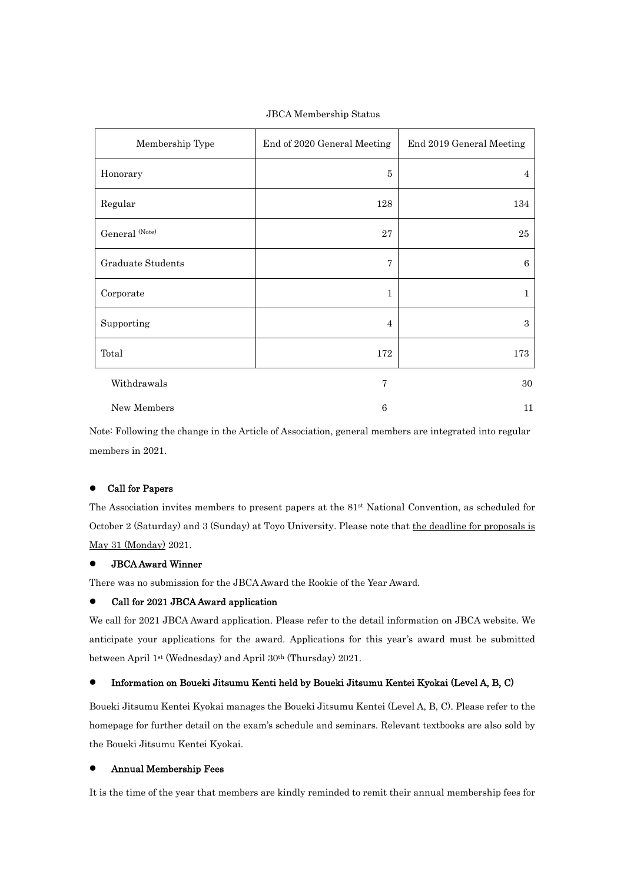| Membership Type          | End of 2020 General Meeting | End 2019 General Meeting |
|--------------------------|-----------------------------|--------------------------|
| Honorary                 | 5                           | 4                        |
| Regular                  | 128                         | 134                      |
| General (Note)           | 27                          | 25                       |
| <b>Graduate Students</b> | $\overline{7}$              | 6                        |
| Corporate                | $\mathbf{1}$                | 1                        |
| Supporting               | $\overline{4}$              | 3                        |
| Total                    | 172                         | 173                      |
| Withdrawals              | $\overline{7}$              | 30                       |
| New Members              | 6                           | 11                       |

JBCA Membership Status

Note: Following the change in the Article of Association, general members are integrated into regular members in 2021.

## Call for Papers

The Association invites members to present papers at the 81st National Convention, as scheduled for October 2 (Saturday) and 3 (Sunday) at Toyo University. Please note that the deadline for proposals is May 31 (Monday) 2021.

## JBCA Award Winner

There was no submission for the JBCA Award the Rookie of the Year Award.

## Call for 2021 JBCA Award application

We call for 2021 JBCA Award application. Please refer to the detail information on JBCA website. We anticipate your applications for the award. Applications for this year's award must be submitted between April 1st (Wednesday) and April 30<sup>th</sup> (Thursday) 2021.

## Information on Boueki Jitsumu Kenti held by Boueki Jitsumu Kentei Kyokai (Level A, B, C)

Boueki Jitsumu Kentei Kyokai manages the Boueki Jitsumu Kentei (Level A, B, C). Please refer to the homepage for further detail on the exam's schedule and seminars. Relevant textbooks are also sold by the Boueki Jitsumu Kentei Kyokai.

### Annual Membership Fees

It is the time of the year that members are kindly reminded to remit their annual membership fees for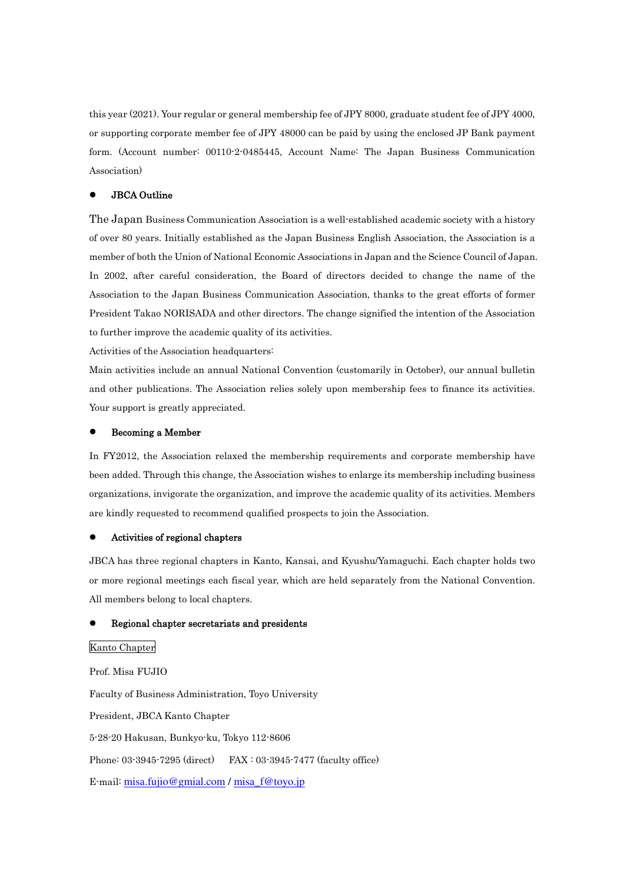this year (2021). Your regular or general membership fee of JPY 8000, graduate student fee of JPY 4000, or supporting corporate member fee of JPY 48000 can be paid by using the enclosed JP Bank payment form. (Account number: 00110-2-0485445, Account Name: The Japan Business Communication Association)

## JBCA Outline

The Japan Business Communication Association is a well-established academic society with a history of over 80 years. Initially established as the Japan Business English Association, the Association is a member of both the Union of National Economic Associations in Japan and the Science Council of Japan. In 2002, after careful consideration, the Board of directors decided to change the name of the Association to the Japan Business Communication Association, thanks to the great efforts of former President Takao NORISADA and other directors. The change signified the intention of the Association to further improve the academic quality of its activities.

Activities of the Association headquarters:

Main activities include an annual National Convention (customarily in October), our annual bulletin and other publications. The Association relies solely upon membership fees to finance its activities. Your support is greatly appreciated.

#### Becoming a Member

In FY2012, the Association relaxed the membership requirements and corporate membership have been added. Through this change, the Association wishes to enlarge its membership including business organizations, invigorate the organization, and improve the academic quality of its activities. Members are kindly requested to recommend qualified prospects to join the Association.

#### Activities of regional chapters

JBCA has three regional chapters in Kanto, Kansai, and Kyushu/Yamaguchi. Each chapter holds two or more regional meetings each fiscal year, which are held separately from the National Convention. All members belong to local chapters.

#### Regional chapter secretariats and presidents

#### Kanto Chapter

Prof. Misa FUJIO Faculty of Business Administration, Toyo University President, JBCA Kanto Chapter 5-28-20 Hakusan, Bunkyo-ku, Tokyo 112-8606 Phone: 03-3945-7295 (direct) FAX : 03-3945-7477 (faculty office) E-mail: misa.fujio@gmial.com / misa\_f@toyo.jp